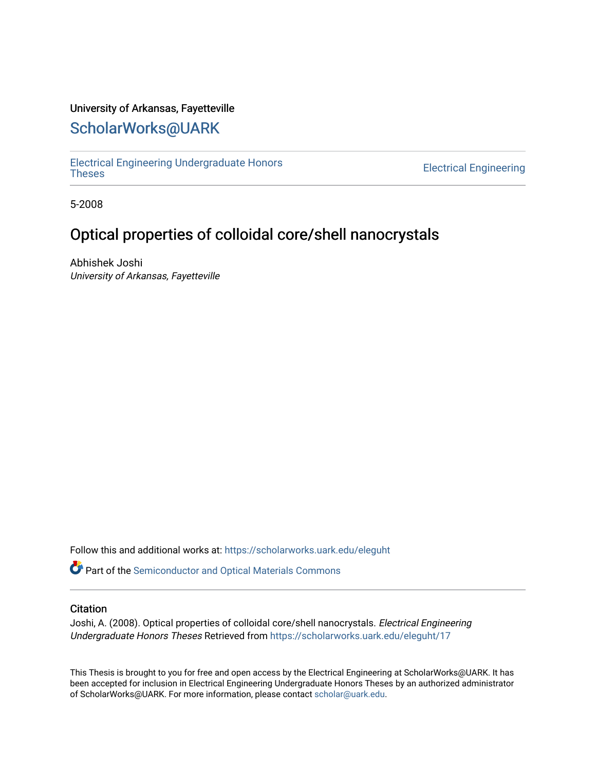## University of Arkansas, Fayetteville

## [ScholarWorks@UARK](https://scholarworks.uark.edu/)

[Electrical Engineering Undergraduate Honors](https://scholarworks.uark.edu/eleguht) 

**Electrical Engineering** 

5-2008

## Optical properties of colloidal core/shell nanocrystals

Abhishek Joshi University of Arkansas, Fayetteville

Follow this and additional works at: [https://scholarworks.uark.edu/eleguht](https://scholarworks.uark.edu/eleguht?utm_source=scholarworks.uark.edu%2Feleguht%2F17&utm_medium=PDF&utm_campaign=PDFCoverPages)

Part of the [Semiconductor and Optical Materials Commons](http://network.bepress.com/hgg/discipline/290?utm_source=scholarworks.uark.edu%2Feleguht%2F17&utm_medium=PDF&utm_campaign=PDFCoverPages)

## **Citation**

Joshi, A. (2008). Optical properties of colloidal core/shell nanocrystals. Electrical Engineering Undergraduate Honors Theses Retrieved from [https://scholarworks.uark.edu/eleguht/17](https://scholarworks.uark.edu/eleguht/17?utm_source=scholarworks.uark.edu%2Feleguht%2F17&utm_medium=PDF&utm_campaign=PDFCoverPages)

This Thesis is brought to you for free and open access by the Electrical Engineering at ScholarWorks@UARK. It has been accepted for inclusion in Electrical Engineering Undergraduate Honors Theses by an authorized administrator of ScholarWorks@UARK. For more information, please contact [scholar@uark.edu.](mailto:scholar@uark.edu)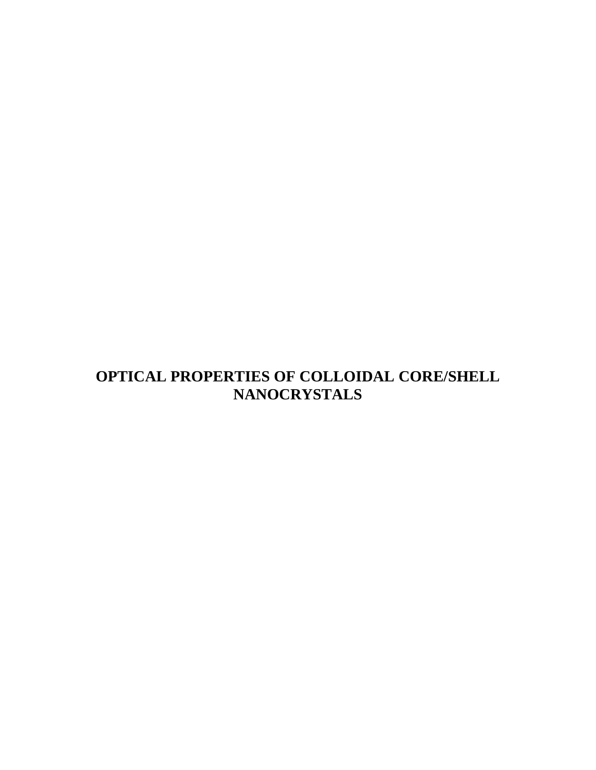# **OPTICAL PROPERTIES OF COLLOIDAL CORE/SHELL NANOCRYSTALS**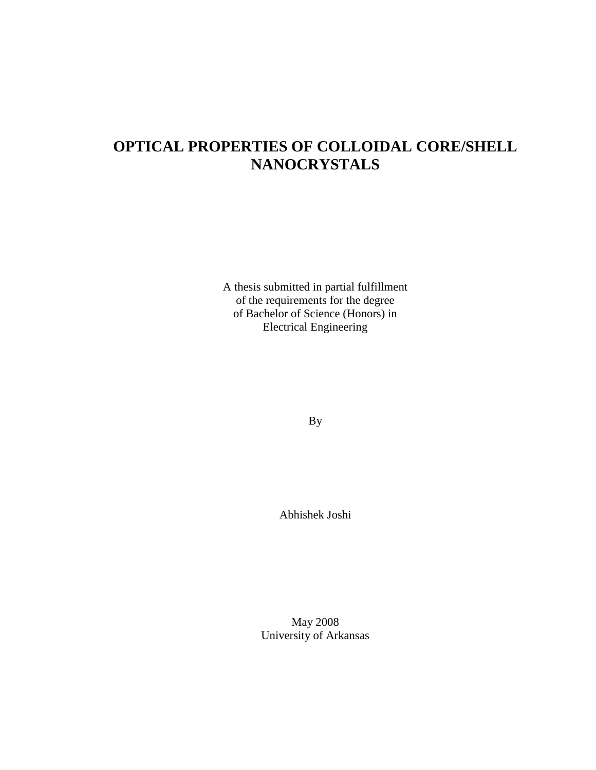# **OPTICAL PROPERTIES OF COLLOIDAL CORE/SHELL NANOCRYSTALS**

A thesis submitted in partial fulfillment of the requirements for the degree of Bachelor of Science (Honors) in Electrical Engineering

By

Abhishek Joshi

May 2008 University of Arkansas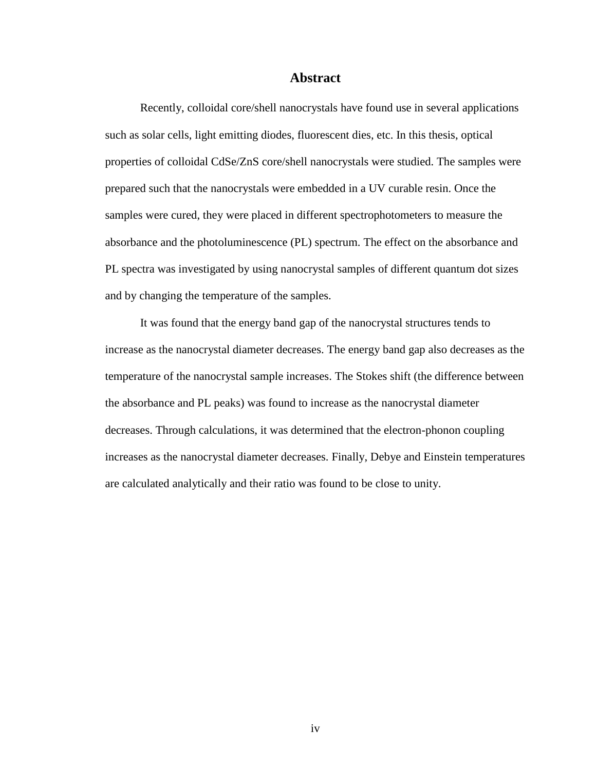#### **Abstract**

Recently, colloidal core/shell nanocrystals have found use in several applications such as solar cells, light emitting diodes, fluorescent dies, etc. In this thesis, optical properties of colloidal CdSe/ZnS core/shell nanocrystals were studied. The samples were prepared such that the nanocrystals were embedded in a UV curable resin. Once the samples were cured, they were placed in different spectrophotometers to measure the absorbance and the photoluminescence (PL) spectrum. The effect on the absorbance and PL spectra was investigated by using nanocrystal samples of different quantum dot sizes and by changing the temperature of the samples.

It was found that the energy band gap of the nanocrystal structures tends to increase as the nanocrystal diameter decreases. The energy band gap also decreases as the temperature of the nanocrystal sample increases. The Stokes shift (the difference between the absorbance and PL peaks) was found to increase as the nanocrystal diameter decreases. Through calculations, it was determined that the electron-phonon coupling increases as the nanocrystal diameter decreases. Finally, Debye and Einstein temperatures are calculated analytically and their ratio was found to be close to unity.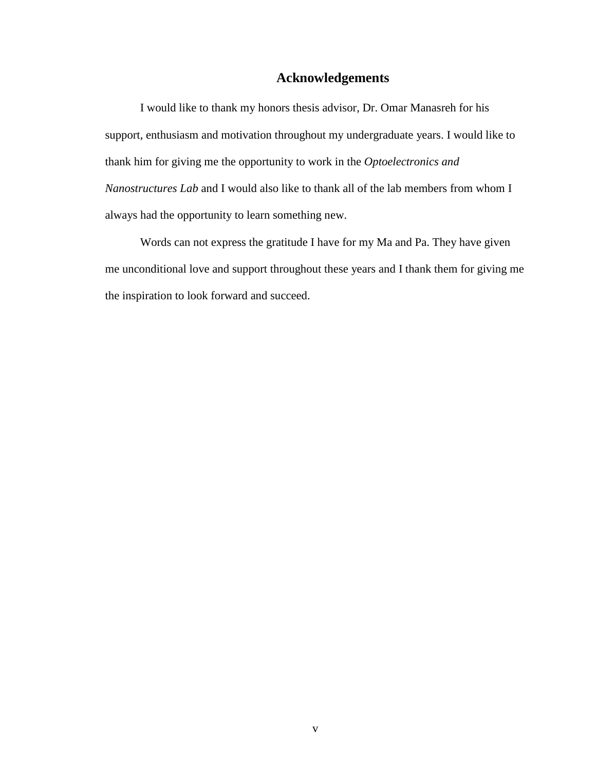## **Acknowledgements**

I would like to thank my honors thesis advisor, Dr. Omar Manasreh for his support, enthusiasm and motivation throughout my undergraduate years. I would like to thank him for giving me the opportunity to work in the *Optoelectronics and Nanostructures Lab* and I would also like to thank all of the lab members from whom I always had the opportunity to learn something new.

Words can not express the gratitude I have for my Ma and Pa. They have given me unconditional love and support throughout these years and I thank them for giving me the inspiration to look forward and succeed.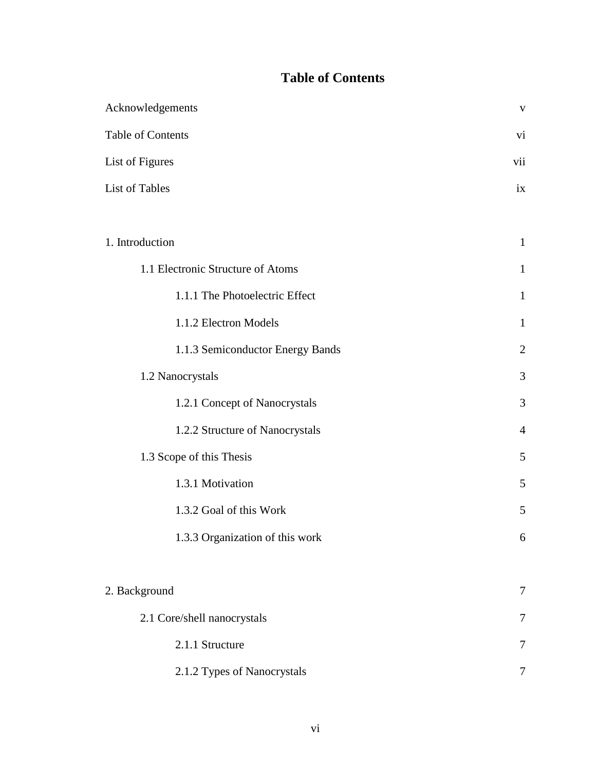## **Table of Contents**

| Acknowledgements                  |                |  |
|-----------------------------------|----------------|--|
| Table of Contents                 | vi             |  |
| List of Figures                   | vii            |  |
| List of Tables                    | ix             |  |
|                                   |                |  |
| 1. Introduction                   | $\mathbf{1}$   |  |
| 1.1 Electronic Structure of Atoms | $\mathbf{1}$   |  |
| 1.1.1 The Photoelectric Effect    | $\mathbf{1}$   |  |
| 1.1.2 Electron Models             | $\mathbf{1}$   |  |
| 1.1.3 Semiconductor Energy Bands  | $\mathfrak{2}$ |  |
| 1.2 Nanocrystals                  | 3              |  |
| 1.2.1 Concept of Nanocrystals     | 3              |  |
| 1.2.2 Structure of Nanocrystals   | $\overline{4}$ |  |
| 1.3 Scope of this Thesis          | 5              |  |
| 1.3.1 Motivation                  | 5              |  |
| 1.3.2 Goal of this Work           | 5              |  |
| 1.3.3 Organization of this work   | 6              |  |
|                                   |                |  |
| 2. Background                     | 7              |  |
| 2.1 Core/shell nanocrystals       | 7              |  |
| 2.1.1 Structure                   | $\overline{7}$ |  |
| 2.1.2 Types of Nanocrystals       | 7              |  |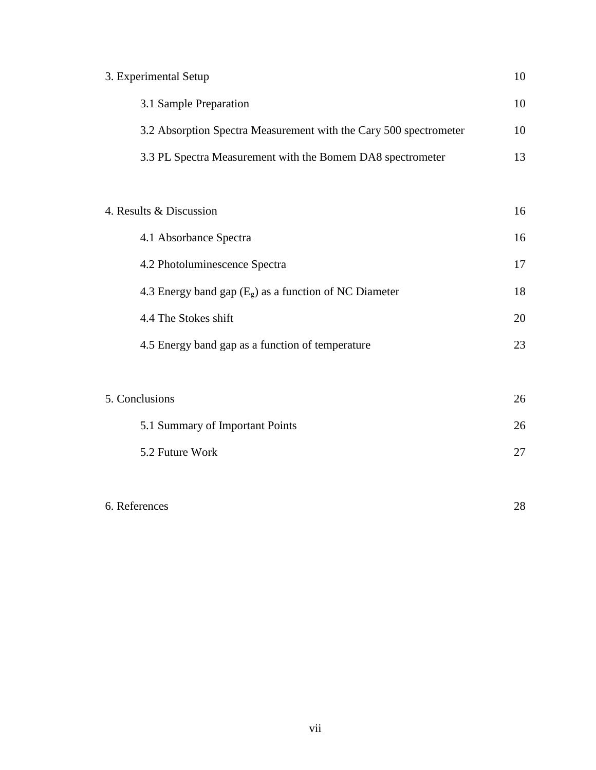| 3. Experimental Setup                                             | 10 |
|-------------------------------------------------------------------|----|
| 3.1 Sample Preparation                                            | 10 |
| 3.2 Absorption Spectra Measurement with the Cary 500 spectrometer | 10 |
| 3.3 PL Spectra Measurement with the Bomem DA8 spectrometer        | 13 |
|                                                                   |    |
| 4. Results & Discussion                                           | 16 |
| 4.1 Absorbance Spectra                                            | 16 |
| 4.2 Photoluminescence Spectra                                     | 17 |
| 4.3 Energy band gap $(E_{g})$ as a function of NC Diameter        | 18 |
| 4.4 The Stokes shift                                              | 20 |
| 4.5 Energy band gap as a function of temperature                  | 23 |
|                                                                   |    |
| 5. Conclusions                                                    | 26 |
| 5.1 Summary of Important Points                                   | 26 |
| 5.2 Future Work                                                   | 27 |
|                                                                   |    |

## 6. References 28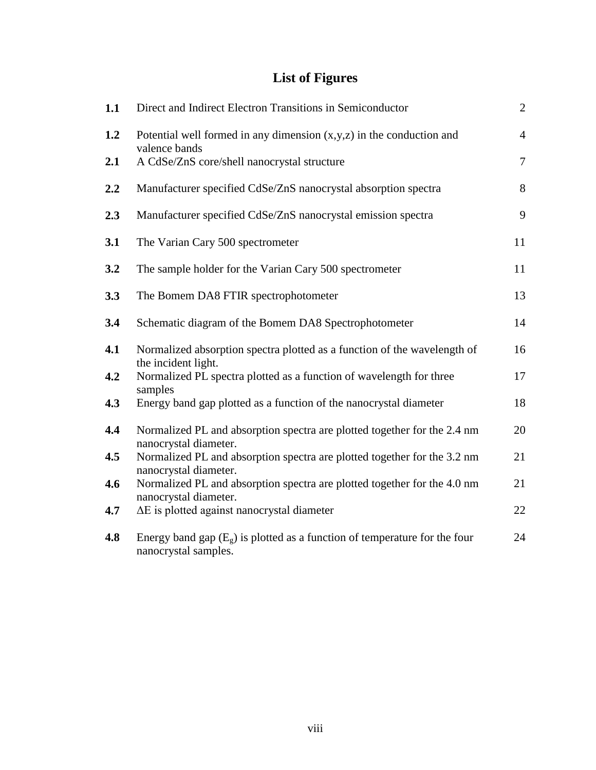# **List of Figures**

| 1.1 | Direct and Indirect Electron Transitions in Semiconductor                                                    | $\overline{2}$ |
|-----|--------------------------------------------------------------------------------------------------------------|----------------|
| 1.2 | Potential well formed in any dimension $(x, y, z)$ in the conduction and                                     | $\overline{4}$ |
| 2.1 | valence bands<br>A CdSe/ZnS core/shell nanocrystal structure                                                 | $\overline{7}$ |
| 2.2 | Manufacturer specified CdSe/ZnS nanocrystal absorption spectra                                               | 8              |
| 2.3 | Manufacturer specified CdSe/ZnS nanocrystal emission spectra                                                 | 9              |
| 3.1 | The Varian Cary 500 spectrometer                                                                             | 11             |
| 3.2 | The sample holder for the Varian Cary 500 spectrometer                                                       | 11             |
| 3.3 | The Bomem DA8 FTIR spectrophotometer                                                                         | 13             |
| 3.4 | Schematic diagram of the Bomem DA8 Spectrophotometer                                                         | 14             |
| 4.1 | Normalized absorption spectra plotted as a function of the wavelength of<br>the incident light.              | 16             |
| 4.2 | Normalized PL spectra plotted as a function of wavelength for three<br>samples                               | 17             |
| 4.3 | Energy band gap plotted as a function of the nanocrystal diameter                                            | 18             |
| 4.4 | Normalized PL and absorption spectra are plotted together for the 2.4 nm<br>nanocrystal diameter.            | 20             |
| 4.5 | Normalized PL and absorption spectra are plotted together for the 3.2 nm<br>nanocrystal diameter.            | 21             |
| 4.6 | Normalized PL and absorption spectra are plotted together for the 4.0 nm<br>nanocrystal diameter.            | 21             |
| 4.7 | $\Delta E$ is plotted against nanocrystal diameter                                                           | 22             |
| 4.8 | Energy band gap $(E_{\varrho})$ is plotted as a function of temperature for the four<br>nanocrystal samples. | 24             |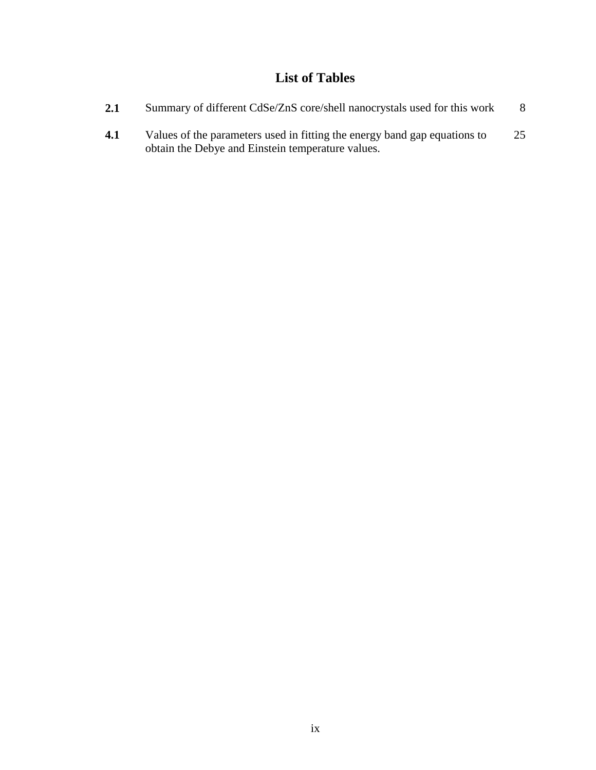# **List of Tables**

| <b>2.1</b> | Summary of different CdSe/ZnS core/shell nanocrystals used for this work                                                       | 8  |
|------------|--------------------------------------------------------------------------------------------------------------------------------|----|
| 4.1        | Values of the parameters used in fitting the energy band gap equations to<br>obtain the Debye and Einstein temperature values. | 25 |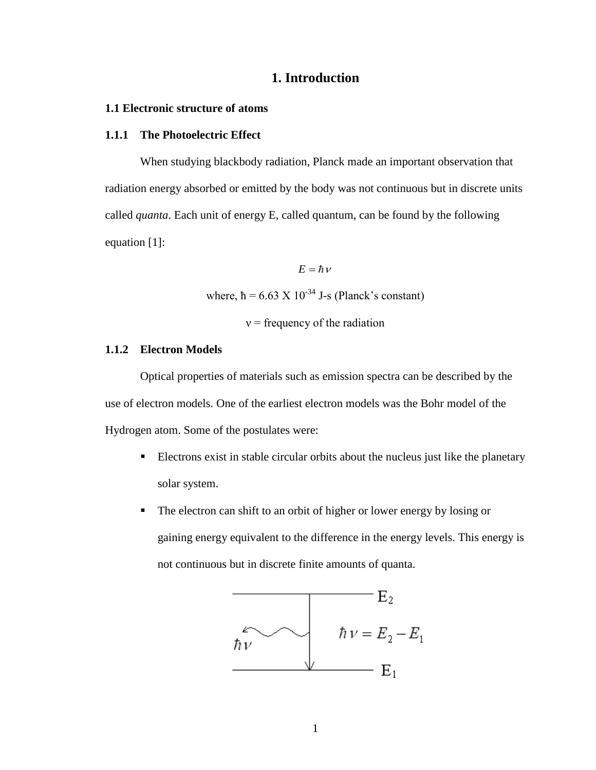## **1. Introduction**

#### **1.1 Electronic structure of atoms**

#### **1.1.1 The Photoelectric Effect**

When studying blackbody radiation, Planck made an important observation that radiation energy absorbed or emitted by the body was not continuous but in discrete units called *quanta*. Each unit of energy E, called quantum, can be found by the following equation [1]:

 $E = \hbar v$ 

where,  $\hbar = 6.63 \times 10^{-34}$  J-s (Planck's constant)

 $v =$  frequency of the radiation

### **1.1.2 Electron Models**

Optical properties of materials such as emission spectra can be described by the use of electron models. One of the earliest electron models was the Bohr model of the Hydrogen atom. Some of the postulates were:

- Electrons exist in stable circular orbits about the nucleus just like the planetary solar system.
- The electron can shift to an orbit of higher or lower energy by losing or gaining energy equivalent to the difference in the energy levels. This energy is not continuous but in discrete finite amounts of quanta.

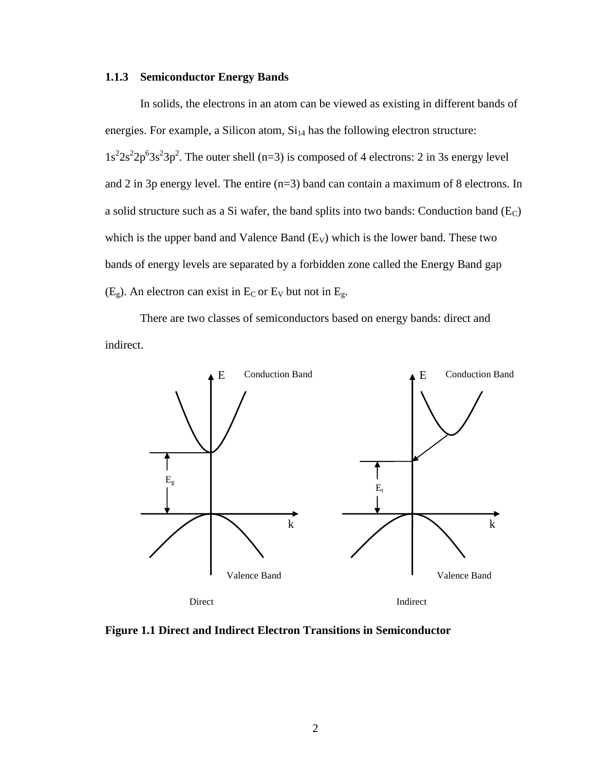#### **1.1.3 Semiconductor Energy Bands**

In solids, the electrons in an atom can be viewed as existing in different bands of energies. For example, a Silicon atom,  $Si<sub>14</sub>$  has the following electron structure:  $1s<sup>2</sup>2s<sup>2</sup>2p<sup>6</sup>3s<sup>2</sup>3p<sup>2</sup>$ . The outer shell (n=3) is composed of 4 electrons: 2 in 3s energy level and 2 in 3p energy level. The entire (n=3) band can contain a maximum of 8 electrons. In a solid structure such as a Si wafer, the band splits into two bands: Conduction band  $(E_C)$ which is the upper band and Valence Band  $(E_V)$  which is the lower band. These two bands of energy levels are separated by a forbidden zone called the Energy Band gap  $(E_g)$ . An electron can exist in  $E_C$  or  $E_V$  but not in  $E_g$ .

There are two classes of semiconductors based on energy bands: direct and indirect.



**Figure 1.1 Direct and Indirect Electron Transitions in Semiconductor**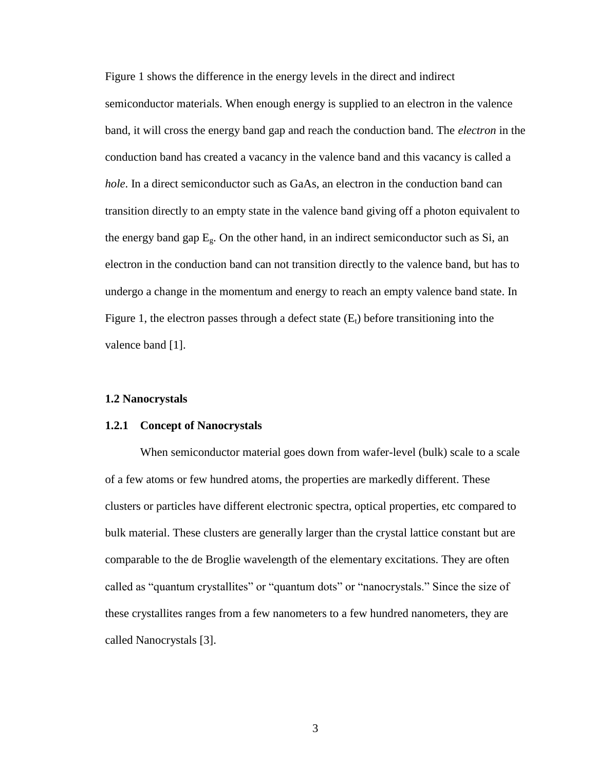Figure 1 shows the difference in the energy levels in the direct and indirect semiconductor materials. When enough energy is supplied to an electron in the valence band, it will cross the energy band gap and reach the conduction band. The *electron* in the conduction band has created a vacancy in the valence band and this vacancy is called a *hole*. In a direct semiconductor such as GaAs, an electron in the conduction band can transition directly to an empty state in the valence band giving off a photon equivalent to the energy band gap  $E_g$ . On the other hand, in an indirect semiconductor such as Si, an electron in the conduction band can not transition directly to the valence band, but has to undergo a change in the momentum and energy to reach an empty valence band state. In Figure 1, the electron passes through a defect state  $(E_t)$  before transitioning into the valence band [1].

#### **1.2 Nanocrystals**

#### **1.2.1 Concept of Nanocrystals**

When semiconductor material goes down from wafer-level (bulk) scale to a scale of a few atoms or few hundred atoms, the properties are markedly different. These clusters or particles have different electronic spectra, optical properties, etc compared to bulk material. These clusters are generally larger than the crystal lattice constant but are comparable to the de Broglie wavelength of the elementary excitations. They are often called as "quantum crystallites" or "quantum dots" or "nanocrystals." Since the size of these crystallites ranges from a few nanometers to a few hundred nanometers, they are called Nanocrystals [3].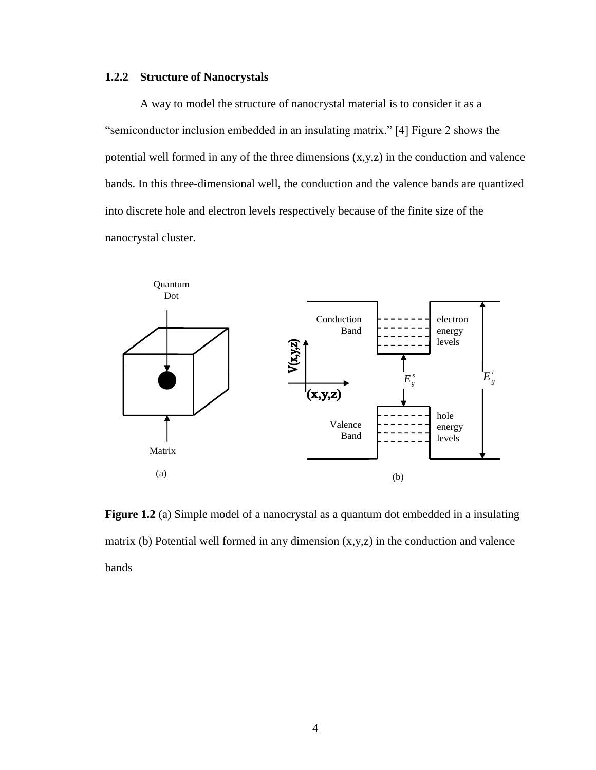### **1.2.2 Structure of Nanocrystals**

A way to model the structure of nanocrystal material is to consider it as a "semiconductor inclusion embedded in an insulating matrix." [4] Figure 2 shows the potential well formed in any of the three dimensions (x,y,z) in the conduction and valence bands. In this three-dimensional well, the conduction and the valence bands are quantized into discrete hole and electron levels respectively because of the finite size of the nanocrystal cluster.



**Figure 1.2** (a) Simple model of a nanocrystal as a quantum dot embedded in a insulating matrix (b) Potential well formed in any dimension  $(x,y,z)$  in the conduction and valence bands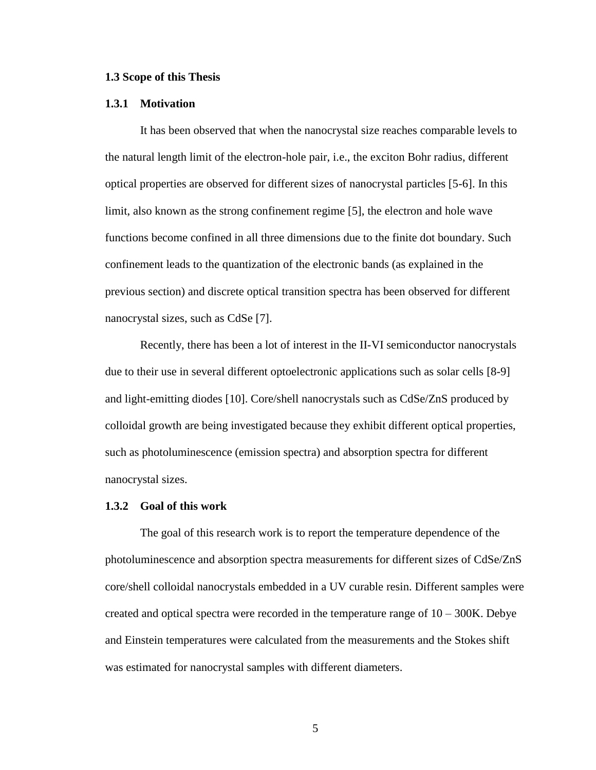#### **1.3 Scope of this Thesis**

#### **1.3.1 Motivation**

It has been observed that when the nanocrystal size reaches comparable levels to the natural length limit of the electron-hole pair, i.e., the exciton Bohr radius, different optical properties are observed for different sizes of nanocrystal particles [5-6]. In this limit, also known as the strong confinement regime [5], the electron and hole wave functions become confined in all three dimensions due to the finite dot boundary. Such confinement leads to the quantization of the electronic bands (as explained in the previous section) and discrete optical transition spectra has been observed for different nanocrystal sizes, such as CdSe [7].

Recently, there has been a lot of interest in the II-VI semiconductor nanocrystals due to their use in several different optoelectronic applications such as solar cells [8-9] and light-emitting diodes [10]. Core/shell nanocrystals such as CdSe/ZnS produced by colloidal growth are being investigated because they exhibit different optical properties, such as photoluminescence (emission spectra) and absorption spectra for different nanocrystal sizes.

#### **1.3.2 Goal of this work**

The goal of this research work is to report the temperature dependence of the photoluminescence and absorption spectra measurements for different sizes of CdSe/ZnS core/shell colloidal nanocrystals embedded in a UV curable resin. Different samples were created and optical spectra were recorded in the temperature range of 10 – 300K. Debye and Einstein temperatures were calculated from the measurements and the Stokes shift was estimated for nanocrystal samples with different diameters.

5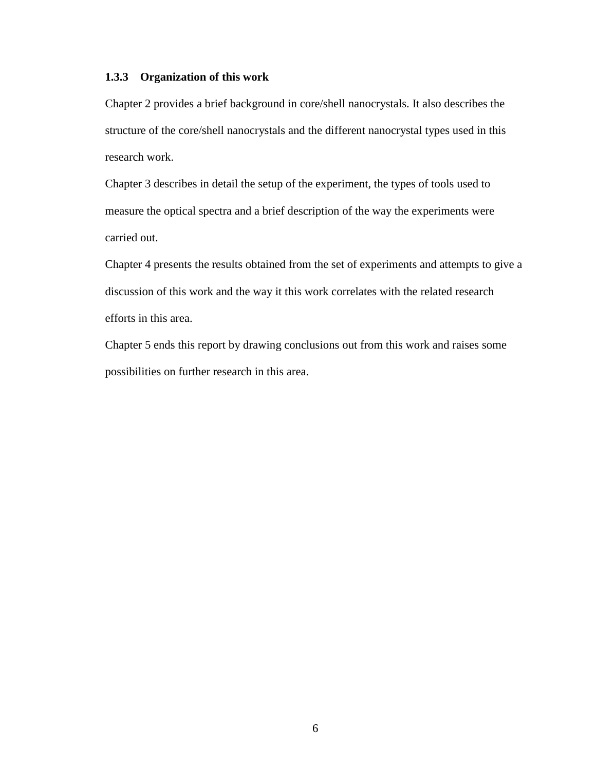### **1.3.3 Organization of this work**

Chapter 2 provides a brief background in core/shell nanocrystals. It also describes the structure of the core/shell nanocrystals and the different nanocrystal types used in this research work.

Chapter 3 describes in detail the setup of the experiment, the types of tools used to measure the optical spectra and a brief description of the way the experiments were carried out.

Chapter 4 presents the results obtained from the set of experiments and attempts to give a discussion of this work and the way it this work correlates with the related research efforts in this area.

Chapter 5 ends this report by drawing conclusions out from this work and raises some possibilities on further research in this area.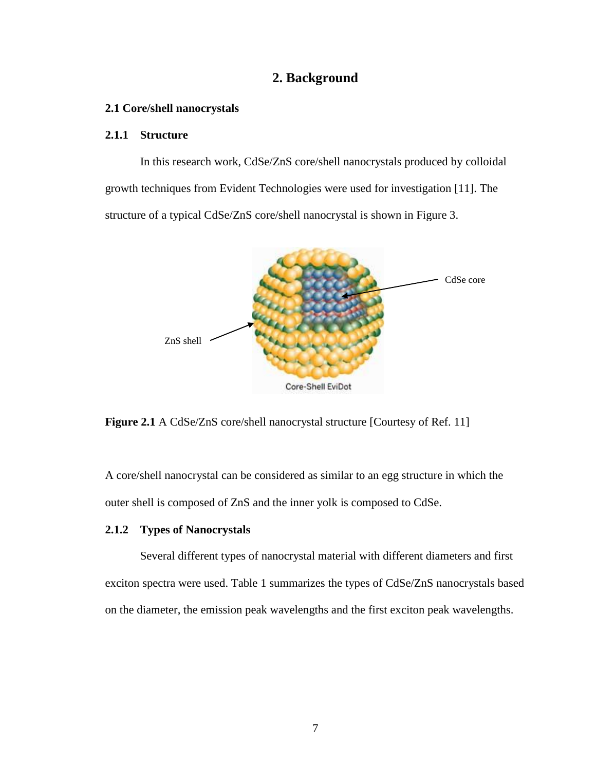## **2. Background**

#### **2.1 Core/shell nanocrystals**

### **2.1.1 Structure**

In this research work, CdSe/ZnS core/shell nanocrystals produced by colloidal growth techniques from Evident Technologies were used for investigation [11]. The structure of a typical CdSe/ZnS core/shell nanocrystal is shown in Figure 3.



**Figure 2.1** A CdSe/ZnS core/shell nanocrystal structure [Courtesy of Ref. 11]

A core/shell nanocrystal can be considered as similar to an egg structure in which the outer shell is composed of ZnS and the inner yolk is composed to CdSe.

#### **2.1.2 Types of Nanocrystals**

Several different types of nanocrystal material with different diameters and first exciton spectra were used. Table 1 summarizes the types of CdSe/ZnS nanocrystals based on the diameter, the emission peak wavelengths and the first exciton peak wavelengths.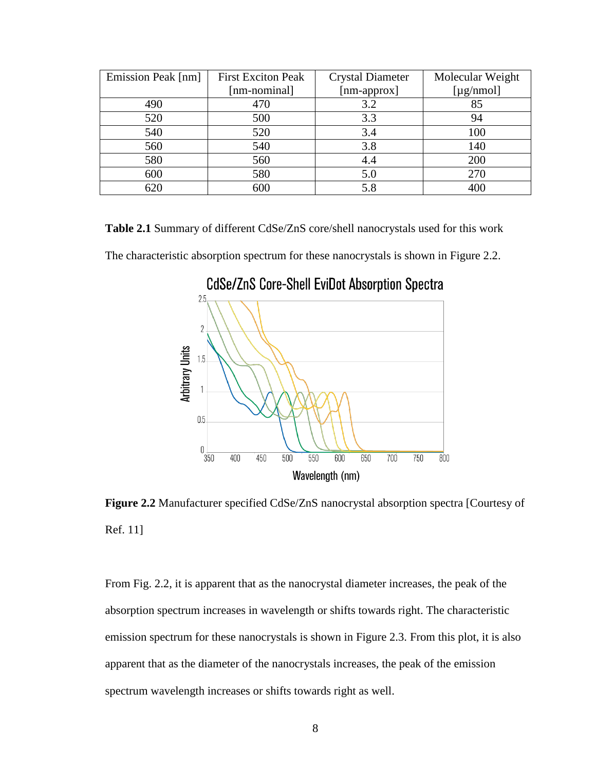| Emission Peak [nm] | <b>First Exciton Peak</b> | <b>Crystal Diameter</b> | Molecular Weight |  |
|--------------------|---------------------------|-------------------------|------------------|--|
|                    | [nm-nominal]              |                         | [ $\mu$ g/nmol]  |  |
| 490                | 470                       | 3.2                     | 85               |  |
| 520                | 500                       | 3.3                     | 94               |  |
| 540                | 520                       | 3.4                     | 100              |  |
| 560                | 540                       | 3.8                     | 140              |  |
| 580                | 560                       | 4.4                     | 200              |  |
| 600                | 580                       | 5.0                     | 270              |  |
| 620                | 600                       | 5.8                     | 400              |  |

**Table 2.1** Summary of different CdSe/ZnS core/shell nanocrystals used for this work The characteristic absorption spectrum for these nanocrystals is shown in Figure 2.2.

 $2.5$  $\overline{2}$ **Arbitrary Units**  $1.5$  $\overline{1}$  $0.5$  $0\frac{1}{350}$  $500$ 550 600  $650$  $\overline{800}$ 400 450 700 750 Wavelength (nm)

**CdSe/ZnS Core-Shell EviDot Absorption Spectra** 

**Figure 2.2** Manufacturer specified CdSe/ZnS nanocrystal absorption spectra [Courtesy of Ref. 11]

From Fig. 2.2, it is apparent that as the nanocrystal diameter increases, the peak of the absorption spectrum increases in wavelength or shifts towards right. The characteristic emission spectrum for these nanocrystals is shown in Figure 2.3. From this plot, it is also apparent that as the diameter of the nanocrystals increases, the peak of the emission spectrum wavelength increases or shifts towards right as well.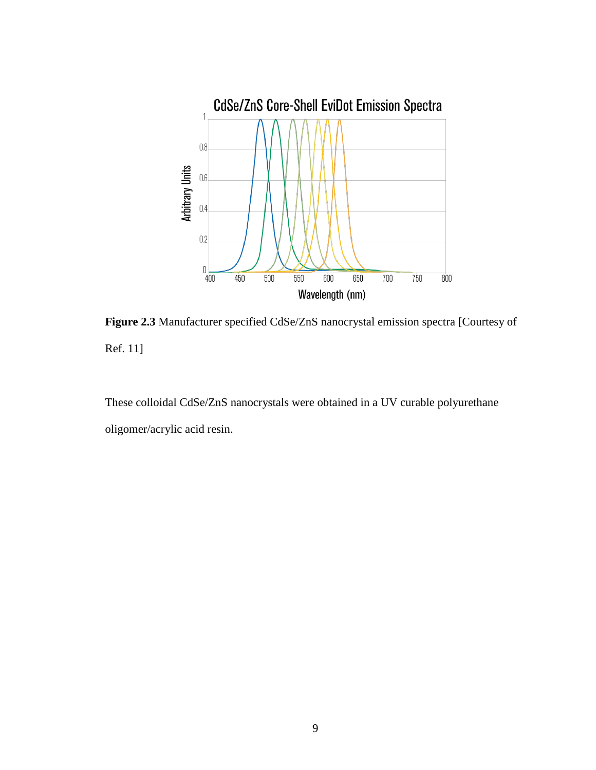

**Figure 2.3** Manufacturer specified CdSe/ZnS nanocrystal emission spectra [Courtesy of Ref. 11]

These colloidal CdSe/ZnS nanocrystals were obtained in a UV curable polyurethane oligomer/acrylic acid resin.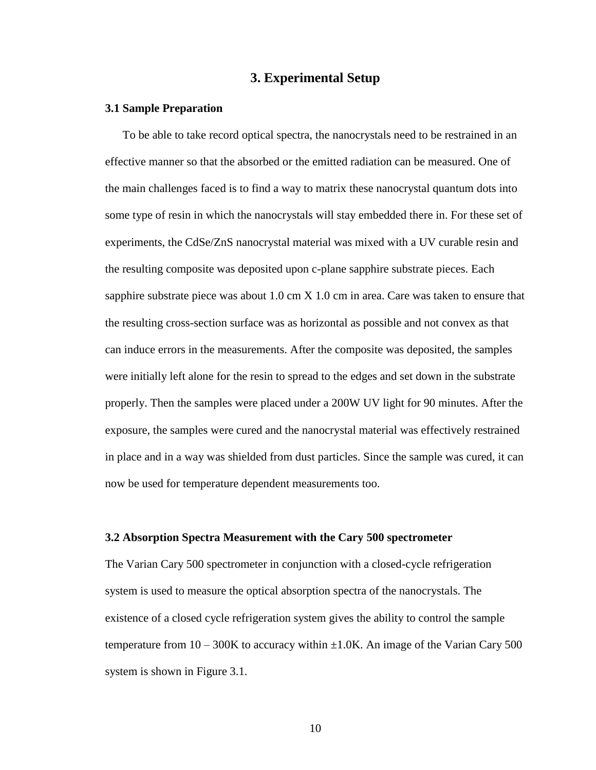## **3. Experimental Setup**

#### **3.1 Sample Preparation**

To be able to take record optical spectra, the nanocrystals need to be restrained in an effective manner so that the absorbed or the emitted radiation can be measured. One of the main challenges faced is to find a way to matrix these nanocrystal quantum dots into some type of resin in which the nanocrystals will stay embedded there in. For these set of experiments, the CdSe/ZnS nanocrystal material was mixed with a UV curable resin and the resulting composite was deposited upon c-plane sapphire substrate pieces. Each sapphire substrate piece was about  $1.0 \text{ cm} X 1.0 \text{ cm}$  in area. Care was taken to ensure that the resulting cross-section surface was as horizontal as possible and not convex as that can induce errors in the measurements. After the composite was deposited, the samples were initially left alone for the resin to spread to the edges and set down in the substrate properly. Then the samples were placed under a 200W UV light for 90 minutes. After the exposure, the samples were cured and the nanocrystal material was effectively restrained in place and in a way was shielded from dust particles. Since the sample was cured, it can now be used for temperature dependent measurements too.

### **3.2 Absorption Spectra Measurement with the Cary 500 spectrometer**

The Varian Cary 500 spectrometer in conjunction with a closed-cycle refrigeration system is used to measure the optical absorption spectra of the nanocrystals. The existence of a closed cycle refrigeration system gives the ability to control the sample temperature from  $10 - 300K$  to accuracy within  $\pm 1.0K$ . An image of the Varian Cary 500 system is shown in Figure 3.1.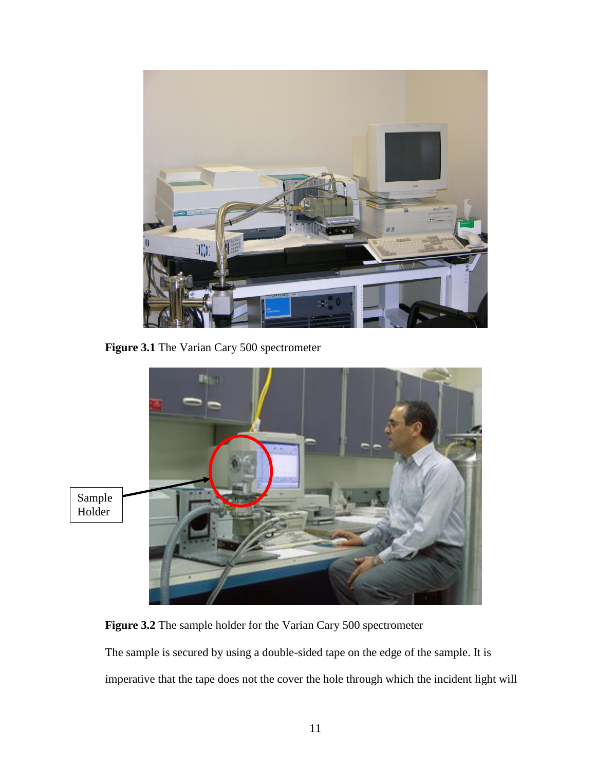

**Figure 3.1** The Varian Cary 500 spectrometer



**Figure 3.2** The sample holder for the Varian Cary 500 spectrometer

The sample is secured by using a double-sided tape on the edge of the sample. It is imperative that the tape does not the cover the hole through which the incident light will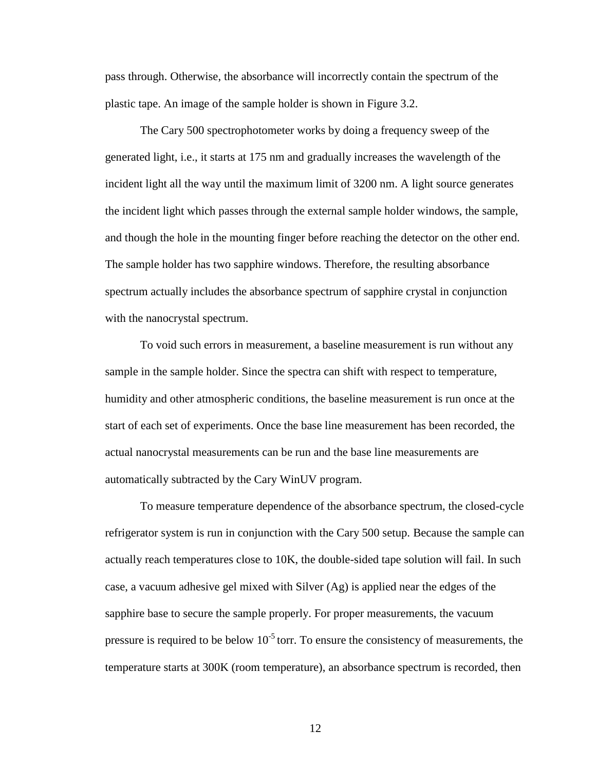pass through. Otherwise, the absorbance will incorrectly contain the spectrum of the plastic tape. An image of the sample holder is shown in Figure 3.2.

The Cary 500 spectrophotometer works by doing a frequency sweep of the generated light, i.e., it starts at 175 nm and gradually increases the wavelength of the incident light all the way until the maximum limit of 3200 nm. A light source generates the incident light which passes through the external sample holder windows, the sample, and though the hole in the mounting finger before reaching the detector on the other end. The sample holder has two sapphire windows. Therefore, the resulting absorbance spectrum actually includes the absorbance spectrum of sapphire crystal in conjunction with the nanocrystal spectrum.

To void such errors in measurement, a baseline measurement is run without any sample in the sample holder. Since the spectra can shift with respect to temperature, humidity and other atmospheric conditions, the baseline measurement is run once at the start of each set of experiments. Once the base line measurement has been recorded, the actual nanocrystal measurements can be run and the base line measurements are automatically subtracted by the Cary WinUV program.

To measure temperature dependence of the absorbance spectrum, the closed-cycle refrigerator system is run in conjunction with the Cary 500 setup. Because the sample can actually reach temperatures close to 10K, the double-sided tape solution will fail. In such case, a vacuum adhesive gel mixed with Silver (Ag) is applied near the edges of the sapphire base to secure the sample properly. For proper measurements, the vacuum pressure is required to be below  $10^{-5}$  torr. To ensure the consistency of measurements, the temperature starts at 300K (room temperature), an absorbance spectrum is recorded, then

12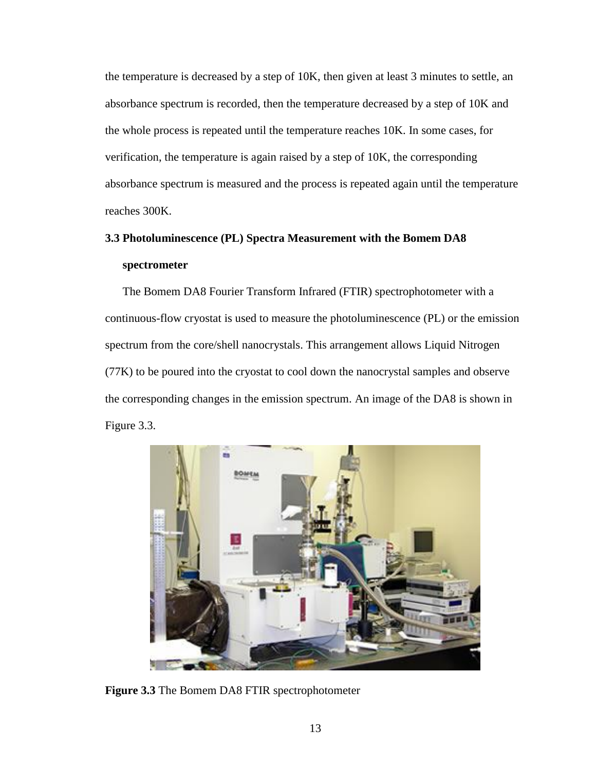the temperature is decreased by a step of 10K, then given at least 3 minutes to settle, an absorbance spectrum is recorded, then the temperature decreased by a step of 10K and the whole process is repeated until the temperature reaches 10K. In some cases, for verification, the temperature is again raised by a step of 10K, the corresponding absorbance spectrum is measured and the process is repeated again until the temperature reaches 300K.

# **3.3 Photoluminescence (PL) Spectra Measurement with the Bomem DA8 spectrometer**

The Bomem DA8 Fourier Transform Infrared (FTIR) spectrophotometer with a continuous-flow cryostat is used to measure the photoluminescence (PL) or the emission spectrum from the core/shell nanocrystals. This arrangement allows Liquid Nitrogen (77K) to be poured into the cryostat to cool down the nanocrystal samples and observe the corresponding changes in the emission spectrum. An image of the DA8 is shown in Figure 3.3.



**Figure 3.3** The Bomem DA8 FTIR spectrophotometer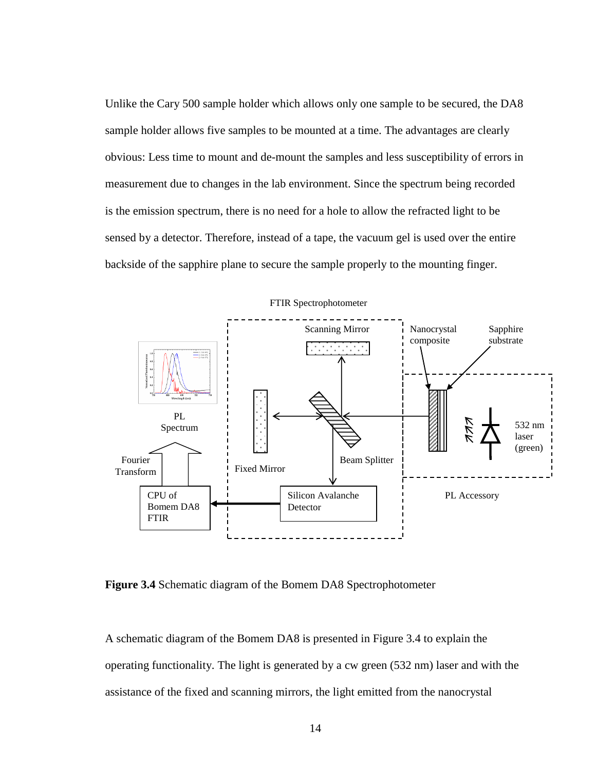Unlike the Cary 500 sample holder which allows only one sample to be secured, the DA8 sample holder allows five samples to be mounted at a time. The advantages are clearly obvious: Less time to mount and de-mount the samples and less susceptibility of errors in measurement due to changes in the lab environment. Since the spectrum being recorded is the emission spectrum, there is no need for a hole to allow the refracted light to be sensed by a detector. Therefore, instead of a tape, the vacuum gel is used over the entire backside of the sapphire plane to secure the sample properly to the mounting finger.

![](_page_23_Figure_1.jpeg)

**Figure 3.4** Schematic diagram of the Bomem DA8 Spectrophotometer

A schematic diagram of the Bomem DA8 is presented in Figure 3.4 to explain the operating functionality. The light is generated by a cw green (532 nm) laser and with the assistance of the fixed and scanning mirrors, the light emitted from the nanocrystal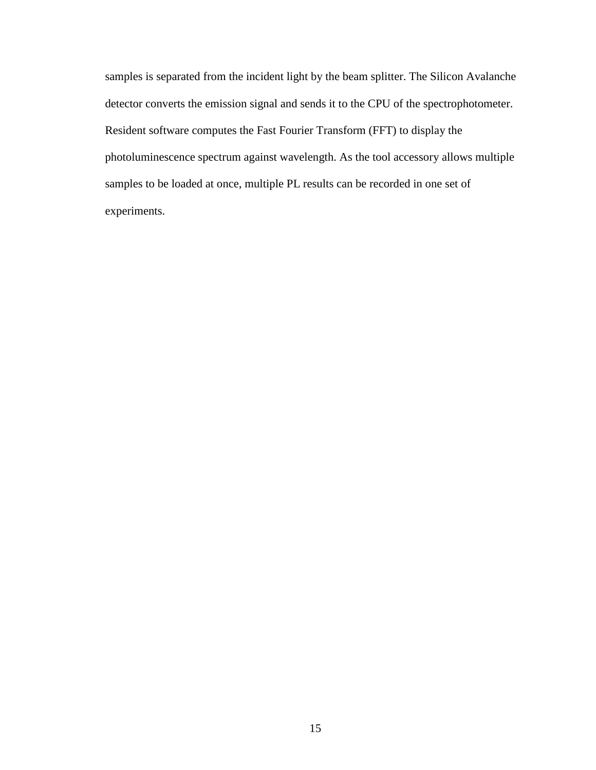samples is separated from the incident light by the beam splitter. The Silicon Avalanche detector converts the emission signal and sends it to the CPU of the spectrophotometer. Resident software computes the Fast Fourier Transform (FFT) to display the photoluminescence spectrum against wavelength. As the tool accessory allows multiple samples to be loaded at once, multiple PL results can be recorded in one set of experiments.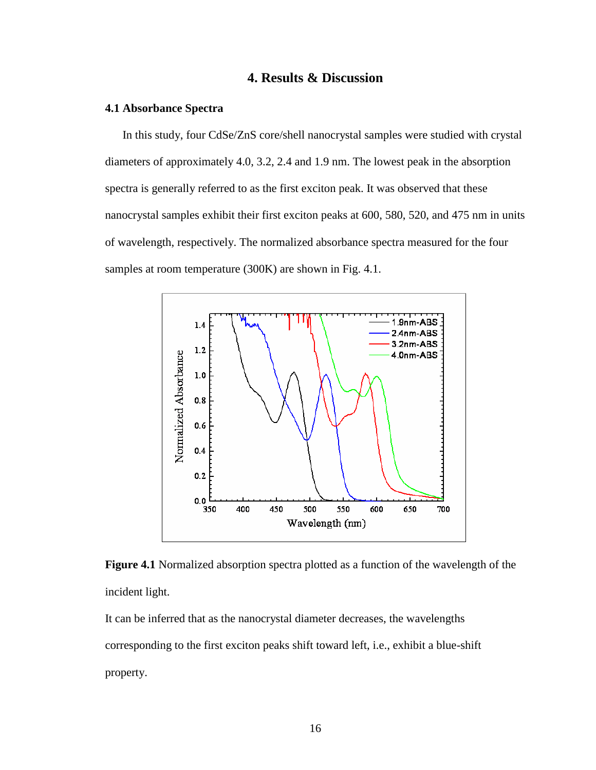## **4. Results & Discussion**

#### **4.1 Absorbance Spectra**

In this study, four CdSe/ZnS core/shell nanocrystal samples were studied with crystal diameters of approximately 4.0, 3.2, 2.4 and 1.9 nm. The lowest peak in the absorption spectra is generally referred to as the first exciton peak. It was observed that these nanocrystal samples exhibit their first exciton peaks at 600, 580, 520, and 475 nm in units of wavelength, respectively. The normalized absorbance spectra measured for the four samples at room temperature (300K) are shown in Fig. 4.1.

![](_page_25_Figure_3.jpeg)

**Figure 4.1** Normalized absorption spectra plotted as a function of the wavelength of the incident light.

It can be inferred that as the nanocrystal diameter decreases, the wavelengths corresponding to the first exciton peaks shift toward left, i.e., exhibit a blue-shift property.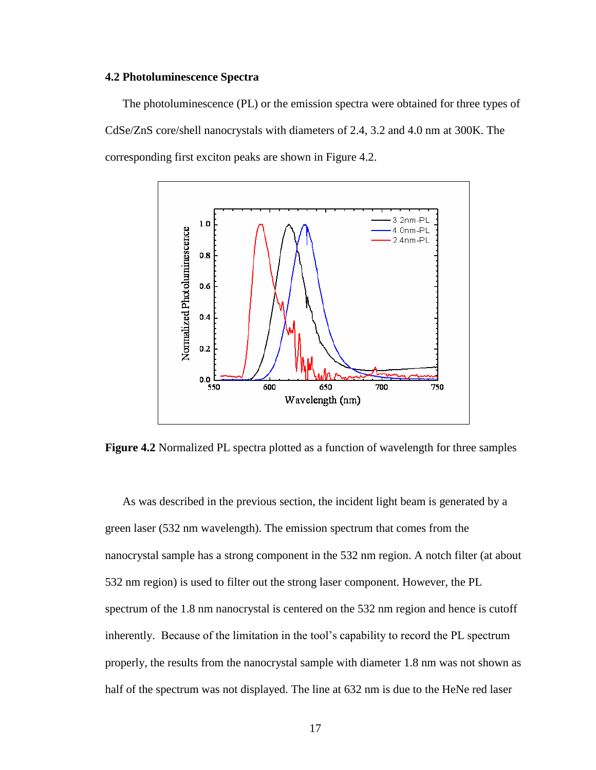#### **4.2 Photoluminescence Spectra**

The photoluminescence (PL) or the emission spectra were obtained for three types of CdSe/ZnS core/shell nanocrystals with diameters of 2.4, 3.2 and 4.0 nm at 300K. The corresponding first exciton peaks are shown in Figure 4.2.

![](_page_26_Figure_2.jpeg)

**Figure 4.2** Normalized PL spectra plotted as a function of wavelength for three samples

As was described in the previous section, the incident light beam is generated by a green laser (532 nm wavelength). The emission spectrum that comes from the nanocrystal sample has a strong component in the 532 nm region. A notch filter (at about 532 nm region) is used to filter out the strong laser component. However, the PL spectrum of the 1.8 nm nanocrystal is centered on the 532 nm region and hence is cutoff inherently. Because of the limitation in the tool's capability to record the PL spectrum properly, the results from the nanocrystal sample with diameter 1.8 nm was not shown as half of the spectrum was not displayed. The line at 632 nm is due to the HeNe red laser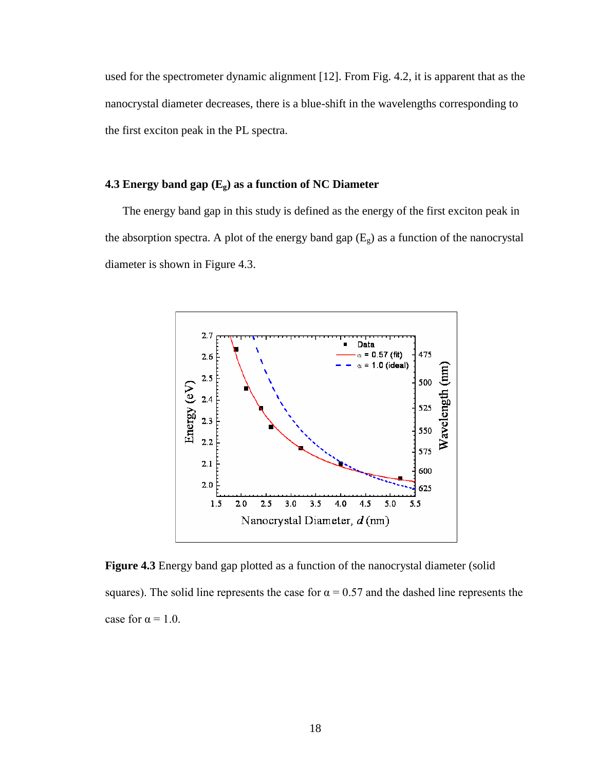used for the spectrometer dynamic alignment [12]. From Fig. 4.2, it is apparent that as the nanocrystal diameter decreases, there is a blue-shift in the wavelengths corresponding to the first exciton peak in the PL spectra.

### **4.3 Energy band gap (Eg) as a function of NC Diameter**

The energy band gap in this study is defined as the energy of the first exciton peak in the absorption spectra. A plot of the energy band gap  $(E_g)$  as a function of the nanocrystal diameter is shown in Figure 4.3.

![](_page_27_Figure_3.jpeg)

**Figure 4.3** Energy band gap plotted as a function of the nanocrystal diameter (solid squares). The solid line represents the case for  $\alpha = 0.57$  and the dashed line represents the case for  $\alpha = 1.0$ .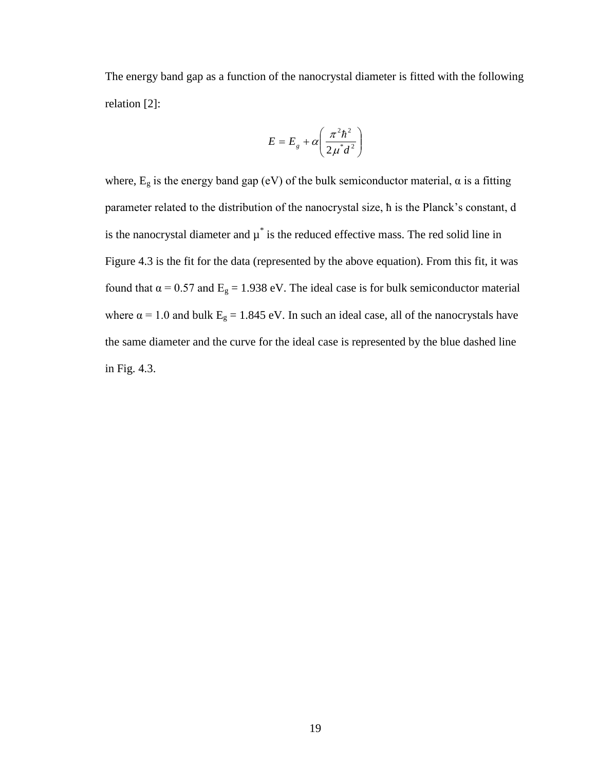The energy band gap as a function of the nanocrystal diameter is fitted with the following relation [2]:

$$
E = E_g + \alpha \left( \frac{\pi^2 \hbar^2}{2\mu^* d^2} \right)
$$

where,  $E_g$  is the energy band gap (eV) of the bulk semiconductor material,  $\alpha$  is a fitting parameter related to the distribution of the nanocrystal size, ħ is the Planck's constant, d is the nanocrystal diameter and  $\mu^*$  is the reduced effective mass. The red solid line in Figure 4.3 is the fit for the data (represented by the above equation). From this fit, it was found that  $\alpha = 0.57$  and  $E_g = 1.938$  eV. The ideal case is for bulk semiconductor material where  $\alpha = 1.0$  and bulk  $E<sub>g</sub> = 1.845$  eV. In such an ideal case, all of the nanocrystals have the same diameter and the curve for the ideal case is represented by the blue dashed line in Fig. 4.3.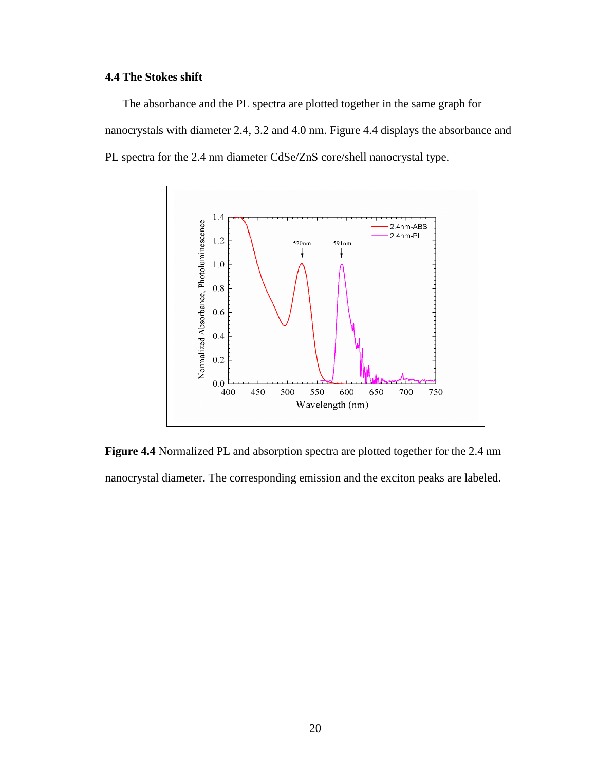## **4.4 The Stokes shift**

The absorbance and the PL spectra are plotted together in the same graph for nanocrystals with diameter 2.4, 3.2 and 4.0 nm. Figure 4.4 displays the absorbance and PL spectra for the 2.4 nm diameter CdSe/ZnS core/shell nanocrystal type.

![](_page_29_Figure_2.jpeg)

**Figure 4.4** Normalized PL and absorption spectra are plotted together for the 2.4 nm nanocrystal diameter. The corresponding emission and the exciton peaks are labeled.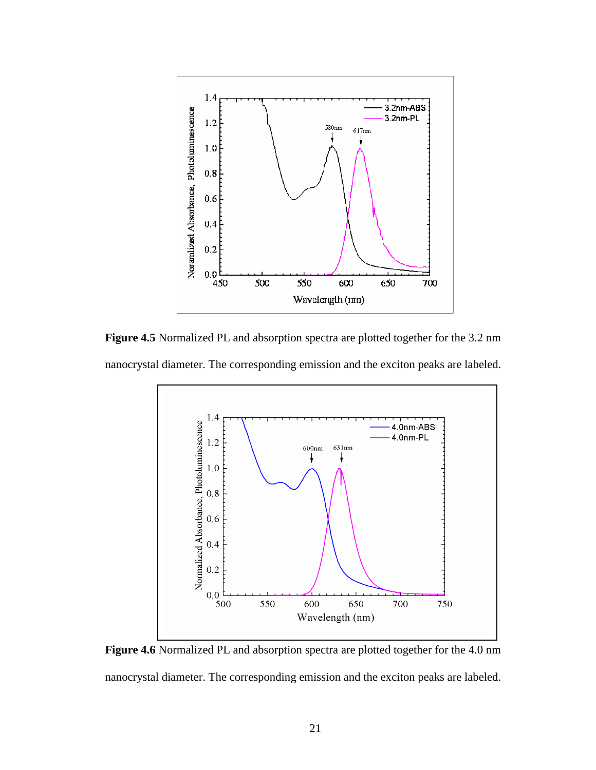![](_page_30_Figure_0.jpeg)

**Figure 4.5** Normalized PL and absorption spectra are plotted together for the 3.2 nm nanocrystal diameter. The corresponding emission and the exciton peaks are labeled.

![](_page_30_Figure_2.jpeg)

**Figure 4.6** Normalized PL and absorption spectra are plotted together for the 4.0 nm nanocrystal diameter. The corresponding emission and the exciton peaks are labeled.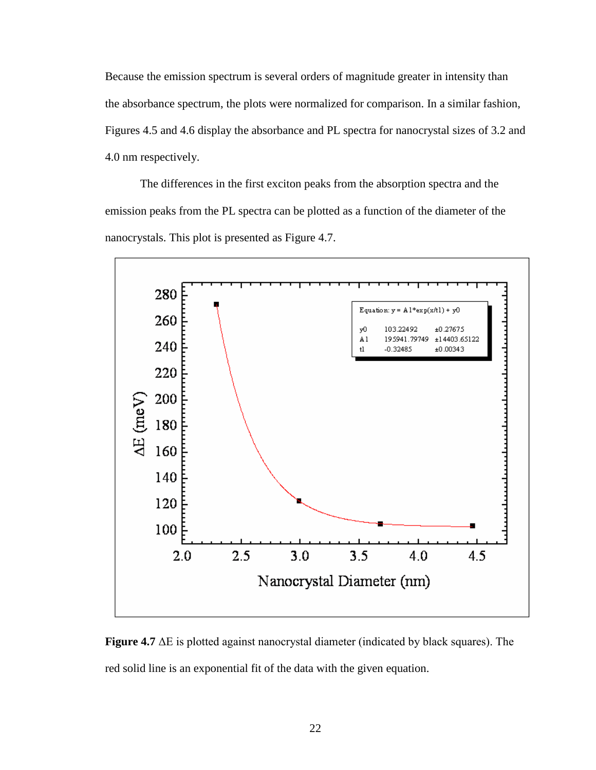Because the emission spectrum is several orders of magnitude greater in intensity than the absorbance spectrum, the plots were normalized for comparison. In a similar fashion, Figures 4.5 and 4.6 display the absorbance and PL spectra for nanocrystal sizes of 3.2 and 4.0 nm respectively.

The differences in the first exciton peaks from the absorption spectra and the emission peaks from the PL spectra can be plotted as a function of the diameter of the nanocrystals. This plot is presented as Figure 4.7.

![](_page_31_Figure_2.jpeg)

**Figure 4.7** ΔE is plotted against nanocrystal diameter (indicated by black squares). The red solid line is an exponential fit of the data with the given equation.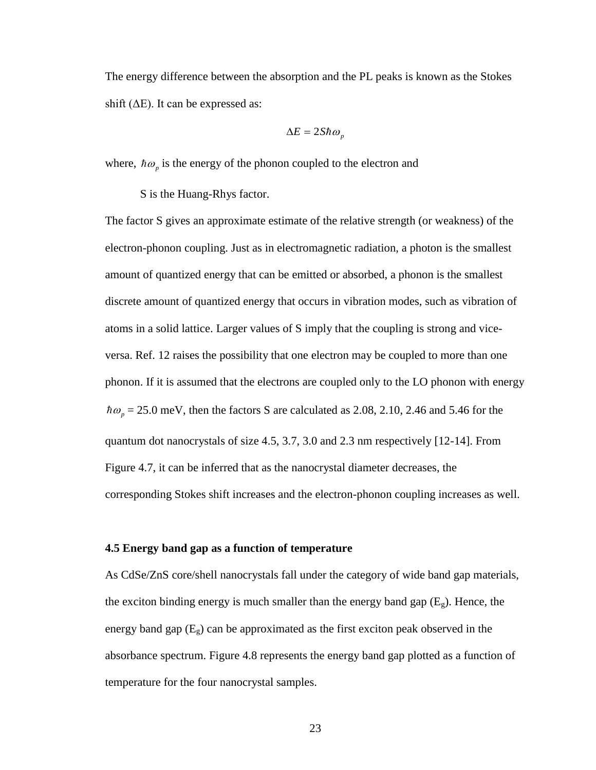The energy difference between the absorption and the PL peaks is known as the Stokes shift  $(\Delta E)$ . It can be expressed as:

$$
\Delta E = 2S\hbar\omega_p
$$

where,  $\hbar \omega_p$  is the energy of the phonon coupled to the electron and

S is the Huang-Rhys factor.

The factor S gives an approximate estimate of the relative strength (or weakness) of the electron-phonon coupling. Just as in electromagnetic radiation, a photon is the smallest amount of quantized energy that can be emitted or absorbed, a phonon is the smallest discrete amount of quantized energy that occurs in vibration modes, such as vibration of atoms in a solid lattice. Larger values of S imply that the coupling is strong and viceversa. Ref. 12 raises the possibility that one electron may be coupled to more than one phonon. If it is assumed that the electrons are coupled only to the LO phonon with energy  $\hbar\omega_p$  = 25.0 meV, then the factors S are calculated as 2.08, 2.10, 2.46 and 5.46 for the quantum dot nanocrystals of size 4.5, 3.7, 3.0 and 2.3 nm respectively [12-14]. From Figure 4.7, it can be inferred that as the nanocrystal diameter decreases, the corresponding Stokes shift increases and the electron-phonon coupling increases as well.

#### **4.5 Energy band gap as a function of temperature**

As CdSe/ZnS core/shell nanocrystals fall under the category of wide band gap materials, the exciton binding energy is much smaller than the energy band gap  $(E_g)$ . Hence, the energy band gap  $(E_g)$  can be approximated as the first exciton peak observed in the absorbance spectrum. Figure 4.8 represents the energy band gap plotted as a function of temperature for the four nanocrystal samples.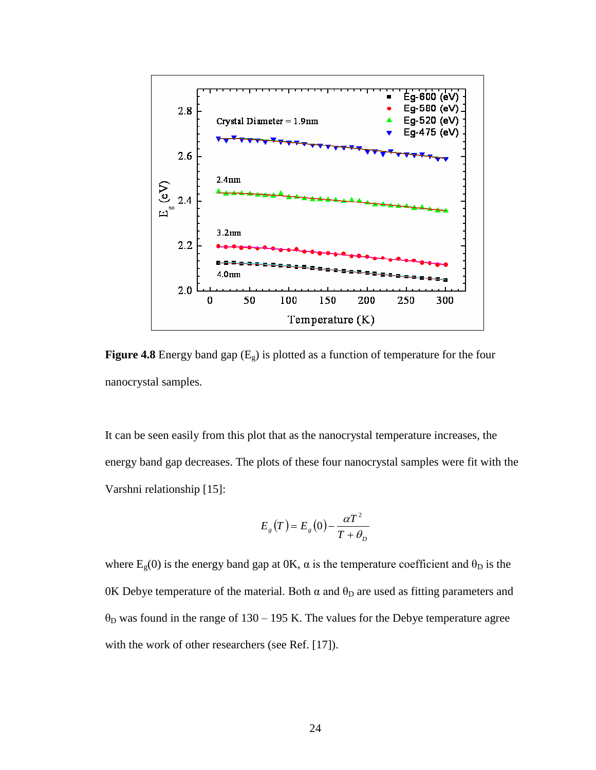![](_page_33_Figure_0.jpeg)

**Figure 4.8** Energy band gap  $(E_g)$  is plotted as a function of temperature for the four nanocrystal samples.

It can be seen easily from this plot that as the nanocrystal temperature increases, the energy band gap decreases. The plots of these four nanocrystal samples were fit with the Varshni relationship [15]:

$$
E_g(T) = E_g(0) - \frac{\alpha T^2}{T + \theta_D}
$$

where  $E_g(0)$  is the energy band gap at 0K,  $\alpha$  is the temperature coefficient and  $\theta_D$  is the 0K Debye temperature of the material. Both α and  $θ<sub>D</sub>$  are used as fitting parameters and  $\theta_D$  was found in the range of 130 – 195 K. The values for the Debye temperature agree with the work of other researchers (see Ref. [17]).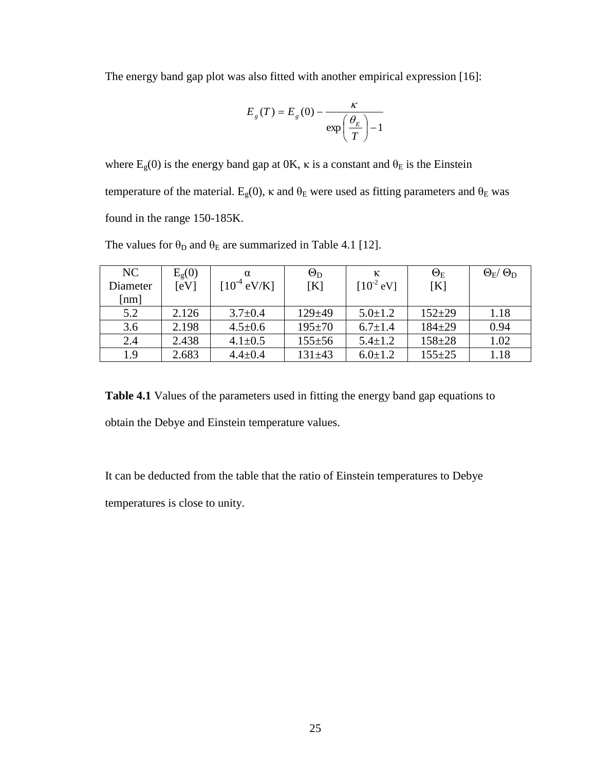The energy band gap plot was also fitted with another empirical expression [16]:

$$
E_g(T) = E_g(0) - \frac{\kappa}{\exp\left(\frac{\theta_E}{T}\right) - 1}
$$

where  $E_g(0)$  is the energy band gap at 0K,  $\kappa$  is a constant and  $\theta_E$  is the Einstein temperature of the material.  $E_g(0)$ , κ and  $\theta_E$  were used as fitting parameters and  $\theta_E$  was found in the range 150-185K.

| NC                 | $E_{g}(0)$ |                  | $\Theta_{\rm D}$ | К              | $\Theta_{\rm E}$ | $\Theta_{\rm E}$ / $\Theta_{\rm D}$ |
|--------------------|------------|------------------|------------------|----------------|------------------|-------------------------------------|
| Diameter           | [eV]       | $[10^{-4}$ eV/K] | [K]              | $[10^{-2}$ eV] | [K]              |                                     |
| $\lceil nm \rceil$ |            |                  |                  |                |                  |                                     |
| 5.2                | 2.126      | $3.7 \pm 0.4$    | $129 + 49$       | $5.0 \pm 1.2$  | $152 \pm 29$     | 1.18                                |
| 3.6                | 2.198      | $4.5 \pm 0.6$    | $195 \pm 70$     | $6.7 \pm 1.4$  | $184 + 29$       | 0.94                                |
| 2.4                | 2.438      | $4.1 \pm 0.5$    | $155 + 56$       | $5.4 \pm 1.2$  | $158 + 28$       | 1.02                                |
| 1.9                | 2.683      | $4.4 \pm 0.4$    | $131 + 43$       | $6.0 \pm 1.2$  | $155 + 25$       | 1.18                                |

The values for  $\theta_D$  and  $\theta_E$  are summarized in Table 4.1 [12].

**Table 4.1** Values of the parameters used in fitting the energy band gap equations to obtain the Debye and Einstein temperature values.

It can be deducted from the table that the ratio of Einstein temperatures to Debye temperatures is close to unity.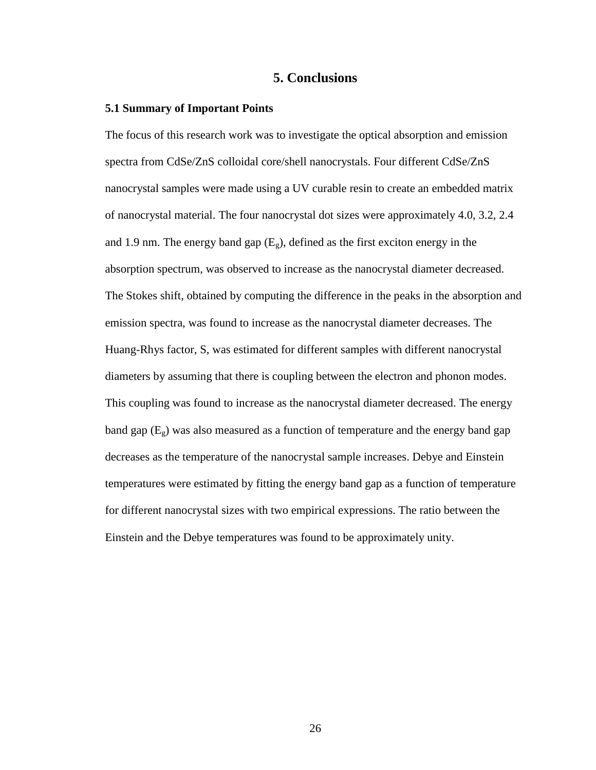## **5. Conclusions**

#### **5.1 Summary of Important Points**

The focus of this research work was to investigate the optical absorption and emission spectra from CdSe/ZnS colloidal core/shell nanocrystals. Four different CdSe/ZnS nanocrystal samples were made using a UV curable resin to create an embedded matrix of nanocrystal material. The four nanocrystal dot sizes were approximately 4.0, 3.2, 2.4 and 1.9 nm. The energy band gap  $(E_g)$ , defined as the first exciton energy in the absorption spectrum, was observed to increase as the nanocrystal diameter decreased. The Stokes shift, obtained by computing the difference in the peaks in the absorption and emission spectra, was found to increase as the nanocrystal diameter decreases. The Huang-Rhys factor, S, was estimated for different samples with different nanocrystal diameters by assuming that there is coupling between the electron and phonon modes. This coupling was found to increase as the nanocrystal diameter decreased. The energy band gap  $(E_g)$  was also measured as a function of temperature and the energy band gap decreases as the temperature of the nanocrystal sample increases. Debye and Einstein temperatures were estimated by fitting the energy band gap as a function of temperature for different nanocrystal sizes with two empirical expressions. The ratio between the Einstein and the Debye temperatures was found to be approximately unity.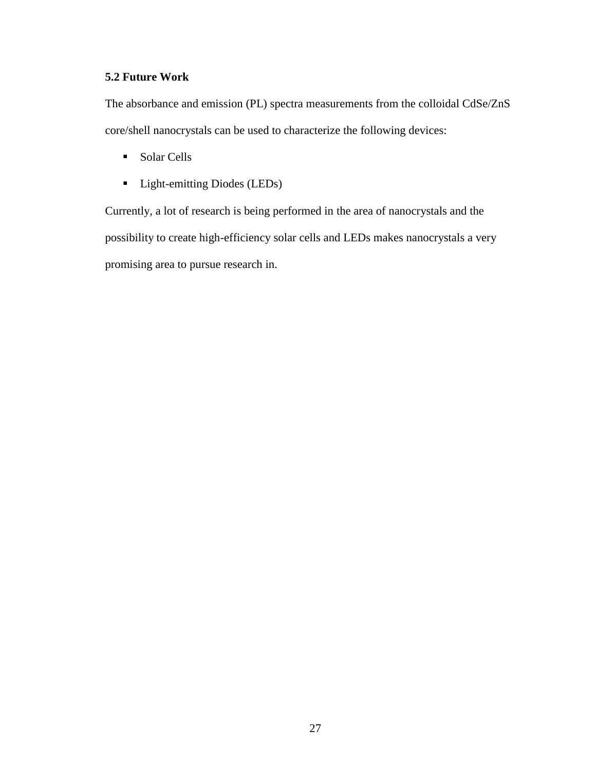## **5.2 Future Work**

The absorbance and emission (PL) spectra measurements from the colloidal CdSe/ZnS core/shell nanocrystals can be used to characterize the following devices:

- Solar Cells
- **Light-emitting Diodes (LEDs)**

Currently, a lot of research is being performed in the area of nanocrystals and the possibility to create high-efficiency solar cells and LEDs makes nanocrystals a very promising area to pursue research in.